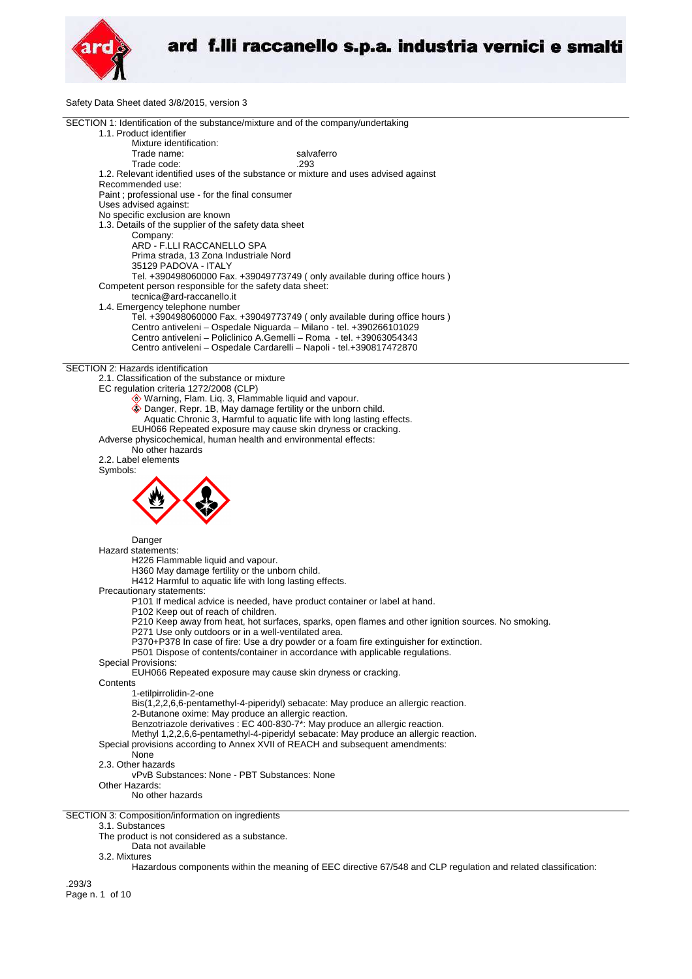

Safety Data Sheet dated 3/8/2015, version 3

|                                                         | SECTION 1: Identification of the substance/mixture and of the company/undertaking                   |
|---------------------------------------------------------|-----------------------------------------------------------------------------------------------------|
| 1.1. Product identifier                                 |                                                                                                     |
| Mixture identification:                                 |                                                                                                     |
| Trade name:                                             | salvaferro                                                                                          |
|                                                         |                                                                                                     |
| Trade code:                                             | .293                                                                                                |
|                                                         | 1.2. Relevant identified uses of the substance or mixture and uses advised against                  |
| Recommended use:                                        |                                                                                                     |
| Paint ; professional use - for the final consumer       |                                                                                                     |
|                                                         |                                                                                                     |
| Uses advised against:                                   |                                                                                                     |
| No specific exclusion are known                         |                                                                                                     |
| 1.3. Details of the supplier of the safety data sheet   |                                                                                                     |
| Company:                                                |                                                                                                     |
| ARD - F.LLI RACCANELLO SPA                              |                                                                                                     |
|                                                         |                                                                                                     |
| Prima strada, 13 Zona Industriale Nord                  |                                                                                                     |
| 35129 PADOVA - ITALY                                    |                                                                                                     |
|                                                         | Tel. +390498060000 Fax. +39049773749 (only available during office hours)                           |
| Competent person responsible for the safety data sheet: |                                                                                                     |
|                                                         |                                                                                                     |
| tecnica@ard-raccanello.it                               |                                                                                                     |
| 1.4. Emergency telephone number                         |                                                                                                     |
|                                                         | Tel. +390498060000 Fax. +39049773749 (only available during office hours)                           |
|                                                         | Centro antiveleni - Ospedale Niguarda - Milano - tel. +390266101029                                 |
|                                                         | Centro antiveleni - Policlinico A.Gemelli - Roma - tel. +39063054343                                |
|                                                         |                                                                                                     |
|                                                         | Centro antiveleni - Ospedale Cardarelli - Napoli - tel.+390817472870                                |
|                                                         |                                                                                                     |
| SECTION 2: Hazards identification                       |                                                                                                     |
| 2.1. Classification of the substance or mixture         |                                                                                                     |
| EC regulation criteria 1272/2008 (CLP)                  |                                                                                                     |
|                                                         |                                                                                                     |
|                                                         | Warning, Flam. Liq. 3, Flammable liquid and vapour.                                                 |
|                                                         | Danger, Repr. 1B, May damage fertility or the unborn child.                                         |
|                                                         | Aquatic Chronic 3, Harmful to aquatic life with long lasting effects.                               |
|                                                         | EUH066 Repeated exposure may cause skin dryness or cracking.                                        |
|                                                         |                                                                                                     |
|                                                         | Adverse physicochemical, human health and environmental effects:                                    |
| No other hazards                                        |                                                                                                     |
| 2.2. Label elements                                     |                                                                                                     |
| Symbols:                                                |                                                                                                     |
|                                                         |                                                                                                     |
|                                                         |                                                                                                     |
|                                                         |                                                                                                     |
|                                                         |                                                                                                     |
|                                                         |                                                                                                     |
|                                                         |                                                                                                     |
|                                                         |                                                                                                     |
|                                                         |                                                                                                     |
| Danger                                                  |                                                                                                     |
| Hazard statements:                                      |                                                                                                     |
| H226 Flammable liquid and vapour.                       |                                                                                                     |
|                                                         |                                                                                                     |
| H360 May damage fertility or the unborn child.          |                                                                                                     |
|                                                         | H412 Harmful to aquatic life with long lasting effects.                                             |
| Precautionary statements:                               |                                                                                                     |
|                                                         | P101 If medical advice is needed, have product container or label at hand.                          |
|                                                         |                                                                                                     |
| P102 Keep out of reach of children.                     |                                                                                                     |
|                                                         | P210 Keep away from heat, hot surfaces, sparks, open flames and other ignition sources. No smoking. |
|                                                         | P271 Use only outdoors or in a well-ventilated area.                                                |
|                                                         | P370+P378 In case of fire: Use a dry powder or a foam fire extinguisher for extinction.             |
|                                                         | P501 Dispose of contents/container in accordance with applicable regulations.                       |
|                                                         |                                                                                                     |
| Special Provisions:                                     |                                                                                                     |
|                                                         | EUH066 Repeated exposure may cause skin dryness or cracking.                                        |
| Contents                                                |                                                                                                     |
| 1-etilpirrolidin-2-one                                  |                                                                                                     |
|                                                         |                                                                                                     |
|                                                         | Bis(1,2,2,6,6-pentamethyl-4-piperidyl) sebacate: May produce an allergic reaction.                  |
|                                                         | 2-Butanone oxime: May produce an allergic reaction.                                                 |
|                                                         | Benzotriazole derivatives : EC 400-830-7*: May produce an allergic reaction.                        |
|                                                         | Methyl 1,2,2,6,6-pentamethyl-4-piperidyl sebacate: May produce an allergic reaction.                |
|                                                         | Special provisions according to Annex XVII of REACH and subsequent amendments:                      |
|                                                         |                                                                                                     |
| None                                                    |                                                                                                     |
| 2.3. Other hazards                                      |                                                                                                     |
|                                                         | vPvB Substances: None - PBT Substances: None                                                        |
| Other Hazards:                                          |                                                                                                     |
| No other hazards                                        |                                                                                                     |
|                                                         |                                                                                                     |
|                                                         |                                                                                                     |
| SECTION 3: Composition/information on ingredients       |                                                                                                     |
| 3.1. Substances                                         |                                                                                                     |
| The product is not considered as a substance.           |                                                                                                     |
|                                                         |                                                                                                     |
| Data not available                                      |                                                                                                     |
| 3.2. Mixtures                                           |                                                                                                     |

Hazardous components within the meaning of EEC directive 67/548 and CLP regulation and related classification:

.293/3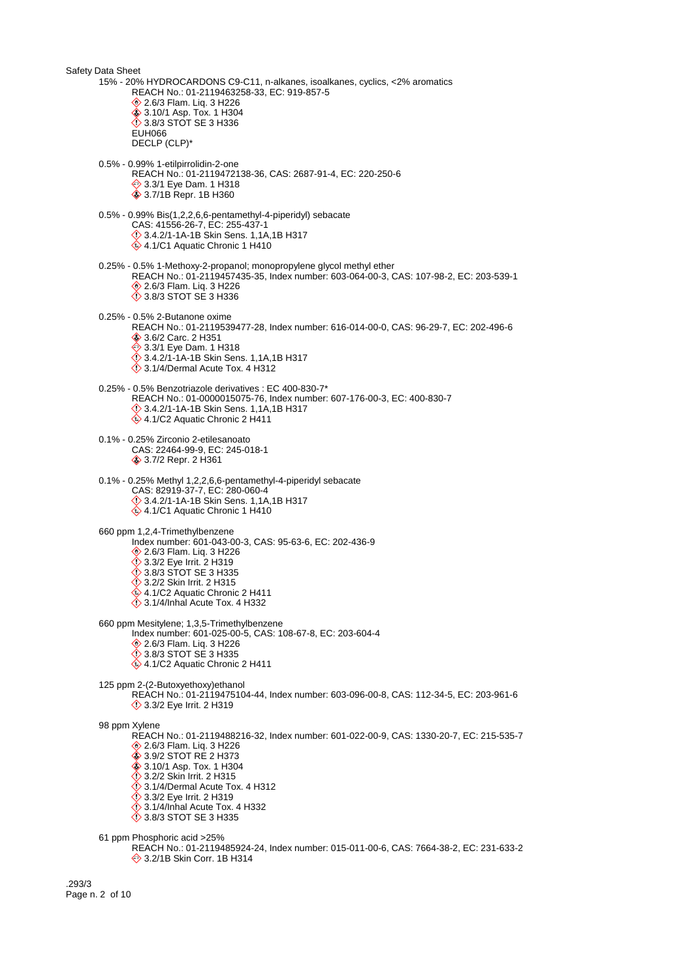Safety Data Sheet 15% - 20% HYDROCARDONS C9-C11, n-alkanes, isoalkanes, cyclics, <2% aromatics REACH No.: 01-2119463258-33, EC: 919-857-5 **♦ 2.6/3 Flam. Liq. 3 H226 ♦ 3.10/1 Asp. Tox. 1 H304 ♦ 3.8/3 STOT SE 3 H336** EUH066 DECLP (CLP)\* 0.5% - 0.99% 1-etilpirrolidin-2-one REACH No.: 01-2119472138-36, CAS: 2687-91-4, EC: 220-250-6 **♦ 3.3/1 Eye Dam. 1 H318 ♦ 3.7/1B Repr. 1B H360** 0.5% - 0.99% Bis(1,2,2,6,6-pentamethyl-4-piperidyl) sebacate CAS: 41556-26-7, EC: 255-437-1 3.4.2/1-1A-1B Skin Sens. 1,1A,1B H317 4.1/C1 Aquatic Chronic 1 H410 0.25% - 0.5% 1-Methoxy-2-propanol; monopropylene glycol methyl ether REACH No.: 01-2119457435-35, Index number: 603-064-00-3, CAS: 107-98-2, EC: 203-539-1 2.6/3 Flam. Liq. 3 H226 3.8/3 STOT SE 3 H336 0.25% - 0.5% 2-Butanone oxime REACH No.: 01-2119539477-28, Index number: 616-014-00-0, CAS: 96-29-7, EC: 202-496-6 3.6/2 Carc. 2 H351 **♦ 3.3/1 Eye Dam. 1 H318**  3.4.2/1-1A-1B Skin Sens. 1,1A,1B H317  $\ddot{\diamond}$  3.1/4/Dermal Acute Tox. 4 H312 0.25% - 0.5% Benzotriazole derivatives : EC 400-830-7\* REACH No.: 01-0000015075-76, Index number: 607-176-00-3, EC: 400-830-7 3.4.2/1-1A-1B Skin Sens. 1,1A,1B H317  $4.1/C2$  Aquatic Chronic 2 H411 0.1% - 0.25% Zirconio 2-etilesanoato CAS: 22464-99-9, EC: 245-018-1 3.7/2 Repr. 2 H361 0.1% - 0.25% Methyl 1,2,2,6,6-pentamethyl-4-piperidyl sebacate CAS: 82919-37-7, EC: 280-060-4  $\diamondsuit$  3.4.2/1-1A-1B Skin Sens. 1,1A,1B H317 4.1/C1 Aquatic Chronic 1 H410 660 ppm 1,2,4-Trimethylbenzene Index number: 601-043-00-3, CAS: 95-63-6, EC: 202-436-9 2.6/3 Flam. Liq. 3 H226 3.3/2 Eye Irrit. 2 H319 3.8/3 STOT SE 3 H335 **3.2/2 Skin Irrit. 2 H315** 4.1/C2 Aquatic Chronic 2 H411  $\ddot{\diamond}$  3.1/4/Inhal Acute Tox. 4 H332 660 ppm Mesitylene; 1,3,5-Trimethylbenzene Index number: 601-025-00-5, CAS: 108-67-8, EC: 203-604-4 2.6/3 Flam. Liq. 3 H226 3.8/3 STOT SE 3 H335 4.1/C2 Aquatic Chronic 2 H411 125 ppm 2-(2-Butoxyethoxy)ethanol REACH No.: 01-2119475104-44, Index number: 603-096-00-8, CAS: 112-34-5, EC: 203-961-6 **12 3.3/2 Eye Irrit. 2 H319** 98 ppm Xylene REACH No.: 01-2119488216-32, Index number: 601-022-00-9, CAS: 1330-20-7, EC: 215-535-7 **♦ 2.6/3 Flam. Lig. 3 H226** ♦ 3.9/2 STOT RE 2 H373 **♦ 3.10/1 Asp. Tox. 1 H304** 3.2/2 Skin Irrit. 2 H315  $\ddot{\diamond}$  3.1/4/Dermal Acute Tox. 4 H312 **1**3.3/2 Eye Irrit. 2 H319 3.1/4/Inhal Acute Tox. 4 H332 3.8/3 STOT SE 3 H335 61 ppm Phosphoric acid >25% REACH No.: 01-2119485924-24, Index number: 015-011-00-6, CAS: 7664-38-2, EC: 231-633-2 **♦ 3.2/1B Skin Corr. 1B H314** 

.293/3 Page n. 2 of 10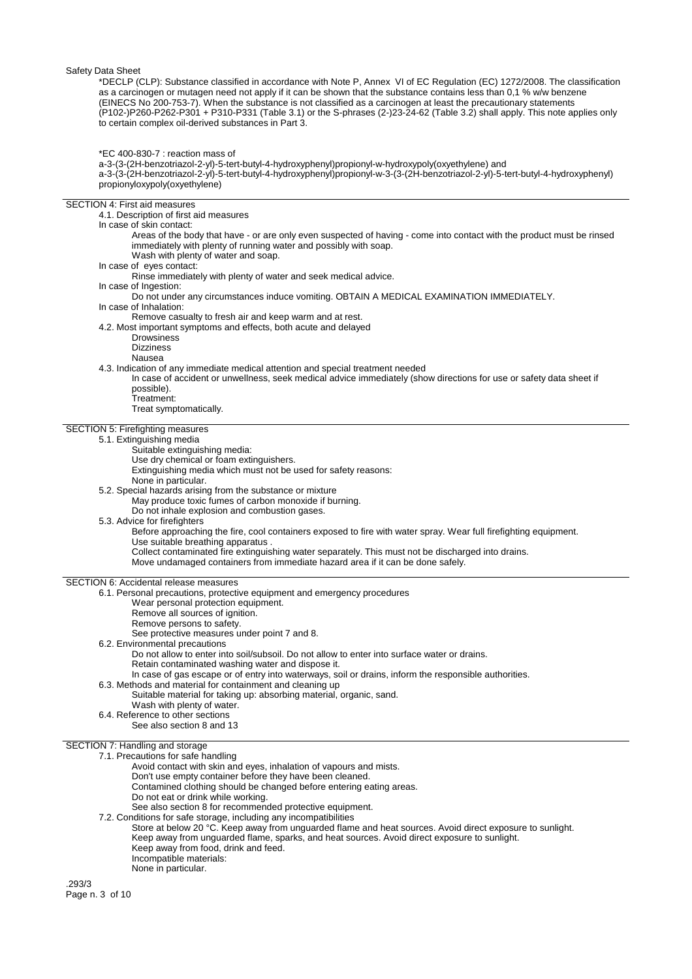\*DECLP (CLP): Substance classified in accordance with Note P, Annex VI of EC Regulation (EC) 1272/2008. The classification as a carcinogen or mutagen need not apply if it can be shown that the substance contains less than 0,1 % w/w benzene (EINECS No 200-753-7). When the substance is not classified as a carcinogen at least the precautionary statements (P102-)P260-P262-P301 + P310-P331 (Table 3.1) or the S-phrases (2-)23-24-62 (Table 3.2) shall apply. This note applies only to certain complex oil-derived substances in Part 3.

\*EC 400-830-7 : reaction mass of

a-3-(3-(2H-benzotriazol-2-yl)-5-tert-butyl-4-hydroxyphenyl)propionyl-w-hydroxypoly(oxyethylene) and

a-3-(3-(2H-benzotriazol-2-yl)-5-tert-butyl-4-hydroxyphenyl)propionyl-w-3-(3-(2H-benzotriazol-2-yl)-5-tert-butyl-4-hydroxyphenyl) propionyloxypoly(oxyethylene)

#### SECTION 4: First aid measures

4.1. Description of first aid measures

In case of skin contact:

- Areas of the body that have or are only even suspected of having come into contact with the product must be rinsed immediately with plenty of running water and possibly with soap.
- Wash with plenty of water and soap.
- In case of eyes contact:

Rinse immediately with plenty of water and seek medical advice.

- In case of Ingestion:
- Do not under any circumstances induce vomiting. OBTAIN A MEDICAL EXAMINATION IMMEDIATELY. In case of Inhalation:

Remove casualty to fresh air and keep warm and at rest.

4.2. Most important symptoms and effects, both acute and delayed

- Drowsiness
	- Dizziness
	- Nausea
- 4.3. Indication of any immediate medical attention and special treatment needed
- In case of accident or unwellness, seek medical advice immediately (show directions for use or safety data sheet if possible).
	- Treatment:

Treat symptomatically.

#### SECTION 5: Firefighting measures

5.1. Extinguishing media

- Suitable extinguishing media:
- Use dry chemical or foam extinguishers.
- Extinguishing media which must not be used for safety reasons:
- None in particular.

# 5.2. Special hazards arising from the substance or mixture

- May produce toxic fumes of carbon monoxide if burning.
	- Do not inhale explosion and combustion gases.
- 5.3. Advice for firefighters

Before approaching the fire, cool containers exposed to fire with water spray. Wear full firefighting equipment. Use suitable breathing apparatus .

Collect contaminated fire extinguishing water separately. This must not be discharged into drains. Move undamaged containers from immediate hazard area if it can be done safely.

## SECTION 6: Accidental release measures

- 6.1. Personal precautions, protective equipment and emergency procedures
	- Wear personal protection equipment.
		- Remove all sources of ignition.
	- Remove persons to safety.
	- See protective measures under point 7 and 8.
- 6.2. Environmental precautions
	- Do not allow to enter into soil/subsoil. Do not allow to enter into surface water or drains.
	- Retain contaminated washing water and dispose it. In case of gas escape or of entry into waterways, soil or drains, inform the responsible authorities.
- 6.3. Methods and material for containment and cleaning up

Suitable material for taking up: absorbing material, organic, sand.

- Wash with plenty of water.
- 6.4. Reference to other sections

See also section 8 and 13

#### SECTION 7: Handling and storage

7.1. Precautions for safe handling

Avoid contact with skin and eyes, inhalation of vapours and mists.

Don't use empty container before they have been cleaned.

- Contamined clothing should be changed before entering eating areas.
- Do not eat or drink while working.
- See also section 8 for recommended protective equipment.
- 7.2. Conditions for safe storage, including any incompatibilities

Store at below 20 °C. Keep away from unguarded flame and heat sources. Avoid direct exposure to sunlight. Keep away from unguarded flame, sparks, and heat sources. Avoid direct exposure to sunlight. Keep away from food, drink and feed. Incompatible materials: None in particular.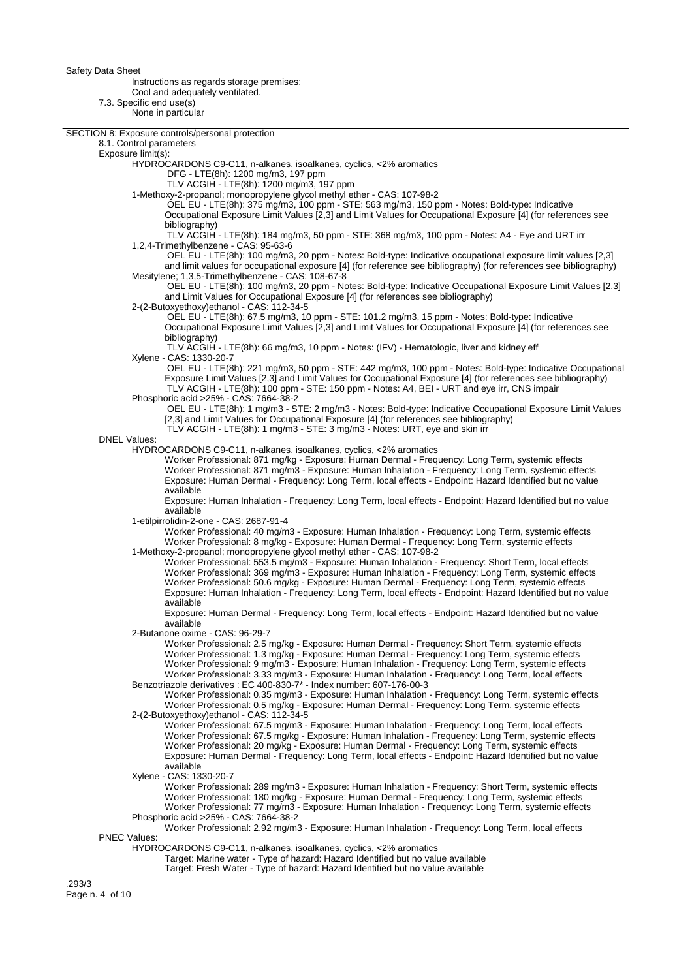Instructions as regards storage premises:

Cool and adequately ventilated.

7.3. Specific end use(s)

None in particular

| <b>INVIIG III particular</b>                                                                                                                                                                                 |  |
|--------------------------------------------------------------------------------------------------------------------------------------------------------------------------------------------------------------|--|
| SECTION 8: Exposure controls/personal protection                                                                                                                                                             |  |
| 8.1. Control parameters                                                                                                                                                                                      |  |
| Exposure limit(s):                                                                                                                                                                                           |  |
| HYDROCARDONS C9-C11, n-alkanes, isoalkanes, cyclics, <2% aromatics                                                                                                                                           |  |
| DFG - LTE(8h): 1200 mg/m3, 197 ppm<br>TLV ACGIH - LTE(8h): 1200 mg/m3, 197 ppm                                                                                                                               |  |
| 1-Methoxy-2-propanol; monopropylene glycol methyl ether - CAS: 107-98-2                                                                                                                                      |  |
| OEL EU - LTE(8h): 375 mg/m3, 100 ppm - STE: 563 mg/m3, 150 ppm - Notes: Bold-type: Indicative                                                                                                                |  |
| Occupational Exposure Limit Values [2,3] and Limit Values for Occupational Exposure [4] (for references see                                                                                                  |  |
| bibliography)                                                                                                                                                                                                |  |
| TLV ACGIH - LTE(8h): 184 mg/m3, 50 ppm - STE: 368 mg/m3, 100 ppm - Notes: A4 - Eye and URT irr                                                                                                               |  |
| 1,2,4-Trimethylbenzene - CAS: 95-63-6                                                                                                                                                                        |  |
| OEL EU - LTE(8h): 100 mg/m3, 20 ppm - Notes: Bold-type: Indicative occupational exposure limit values [2,3]                                                                                                  |  |
| and limit values for occupational exposure [4] (for reference see bibliography) (for references see bibliography)<br>Mesitylene; 1,3,5-Trimethylbenzene - CAS: 108-67-8                                      |  |
| OEL EU - LTE(8h): 100 mg/m3, 20 ppm - Notes: Bold-type: Indicative Occupational Exposure Limit Values [2,3]                                                                                                  |  |
| and Limit Values for Occupational Exposure [4] (for references see bibliography)                                                                                                                             |  |
| 2-(2-Butoxyethoxy)ethanol - CAS: 112-34-5                                                                                                                                                                    |  |
| OEL EU - LTE(8h): 67.5 mg/m3, 10 ppm - STE: 101.2 mg/m3, 15 ppm - Notes: Bold-type: Indicative                                                                                                               |  |
| Occupational Exposure Limit Values [2,3] and Limit Values for Occupational Exposure [4] (for references see                                                                                                  |  |
| bibliography)<br>TLV ACGIH - LTE(8h): 66 mg/m3, 10 ppm - Notes: (IFV) - Hematologic, liver and kidney eff                                                                                                    |  |
| Xylene - CAS: 1330-20-7                                                                                                                                                                                      |  |
| OEL EU - LTE(8h): 221 mg/m3, 50 ppm - STE: 442 mg/m3, 100 ppm - Notes: Bold-type: Indicative Occupational                                                                                                    |  |
| Exposure Limit Values [2,3] and Limit Values for Occupational Exposure [4] (for references see bibliography)                                                                                                 |  |
| TLV ACGIH - LTE(8h): 100 ppm - STE: 150 ppm - Notes: A4, BEI - URT and eye irr, CNS impair                                                                                                                   |  |
| Phosphoric acid > 25% - CAS: 7664-38-2                                                                                                                                                                       |  |
| OEL EU - LTE(8h): 1 mg/m3 - STE: 2 mg/m3 - Notes: Bold-type: Indicative Occupational Exposure Limit Values<br>[2,3] and Limit Values for Occupational Exposure [4] (for references see bibliography)         |  |
| TLV ACGIH - LTE(8h): 1 mg/m3 - STE: 3 mg/m3 - Notes: URT, eye and skin irr                                                                                                                                   |  |
| <b>DNEL Values:</b>                                                                                                                                                                                          |  |
| HYDROCARDONS C9-C11, n-alkanes, isoalkanes, cyclics, <2% aromatics                                                                                                                                           |  |
| Worker Professional: 871 mg/kg - Exposure: Human Dermal - Frequency: Long Term, systemic effects                                                                                                             |  |
| Worker Professional: 871 mg/m3 - Exposure: Human Inhalation - Frequency: Long Term, systemic effects                                                                                                         |  |
| Exposure: Human Dermal - Frequency: Long Term, local effects - Endpoint: Hazard Identified but no value<br>available                                                                                         |  |
| Exposure: Human Inhalation - Frequency: Long Term, local effects - Endpoint: Hazard Identified but no value                                                                                                  |  |
| available                                                                                                                                                                                                    |  |
| 1-etilpirrolidin-2-one - CAS: 2687-91-4                                                                                                                                                                      |  |
| Worker Professional: 40 mg/m3 - Exposure: Human Inhalation - Frequency: Long Term, systemic effects                                                                                                          |  |
| Worker Professional: 8 mg/kg - Exposure: Human Dermal - Frequency: Long Term, systemic effects                                                                                                               |  |
| 1-Methoxy-2-propanol; monopropylene glycol methyl ether - CAS: 107-98-2                                                                                                                                      |  |
| Worker Professional: 553.5 mg/m3 - Exposure: Human Inhalation - Frequency: Short Term, local effects<br>Worker Professional: 369 mg/m3 - Exposure: Human Inhalation - Frequency: Long Term, systemic effects |  |
| Worker Professional: 50.6 mg/kg - Exposure: Human Dermal - Frequency: Long Term, systemic effects                                                                                                            |  |
| Exposure: Human Inhalation - Frequency: Long Term, local effects - Endpoint: Hazard Identified but no value                                                                                                  |  |
| available                                                                                                                                                                                                    |  |
| Exposure: Human Dermal - Frequency: Long Term, local effects - Endpoint: Hazard Identified but no value                                                                                                      |  |
| available                                                                                                                                                                                                    |  |
| 2-Butanone oxime - CAS: 96-29-7<br>Worker Professional: 2.5 mg/kg - Exposure: Human Dermal - Frequency: Short Term, systemic effects                                                                         |  |
| Worker Professional: 1.3 mg/kg - Exposure: Human Dermal - Frequency: Long Term, systemic effects                                                                                                             |  |
| Worker Professional: 9 mg/m3 - Exposure: Human Inhalation - Frequency: Long Term, systemic effects                                                                                                           |  |
| Worker Professional: 3.33 mg/m3 - Exposure: Human Inhalation - Frequency: Long Term, local effects                                                                                                           |  |
| Benzotriazole derivatives : EC 400-830-7* - Index number: 607-176-00-3                                                                                                                                       |  |
| Worker Professional: 0.35 mg/m3 - Exposure: Human Inhalation - Frequency: Long Term, systemic effects                                                                                                        |  |
| Worker Professional: 0.5 mg/kg - Exposure: Human Dermal - Frequency: Long Term, systemic effects<br>2-(2-Butoxyethoxy) ethanol - CAS: 112-34-5                                                               |  |
| Worker Professional: 67.5 mg/m3 - Exposure: Human Inhalation - Frequency: Long Term, local effects                                                                                                           |  |
| Worker Professional: 67.5 mg/kg - Exposure: Human Inhalation - Frequency: Long Term, systemic effects                                                                                                        |  |
| Worker Professional: 20 mg/kg - Exposure: Human Dermal - Frequency: Long Term, systemic effects                                                                                                              |  |
| Exposure: Human Dermal - Frequency: Long Term, local effects - Endpoint: Hazard Identified but no value                                                                                                      |  |
| available                                                                                                                                                                                                    |  |
| Xylene - CAS: 1330-20-7                                                                                                                                                                                      |  |
| Worker Professional: 289 mg/m3 - Exposure: Human Inhalation - Frequency: Short Term, systemic effects<br>Worker Professional: 180 mg/kg - Exposure: Human Dermal - Frequency: Long Term, systemic effects    |  |
| Worker Professional: 77 mg/m3 - Exposure: Human Inhalation - Frequency: Long Term, systemic effects                                                                                                          |  |
| Phosphoric acid > 25% - CAS: 7664-38-2                                                                                                                                                                       |  |
| Worker Professional: 2.92 mg/m3 - Exposure: Human Inhalation - Frequency: Long Term, local effects                                                                                                           |  |
| <b>PNEC Values:</b>                                                                                                                                                                                          |  |
| HYDROCARDONS C9-C11, n-alkanes, isoalkanes, cyclics, <2% aromatics                                                                                                                                           |  |
| Target: Marine water - Type of hazard: Hazard Identified but no value available                                                                                                                              |  |

Target: Fresh Water - Type of hazard: Hazard Identified but no value available

.293/3 Page n. 4 of 10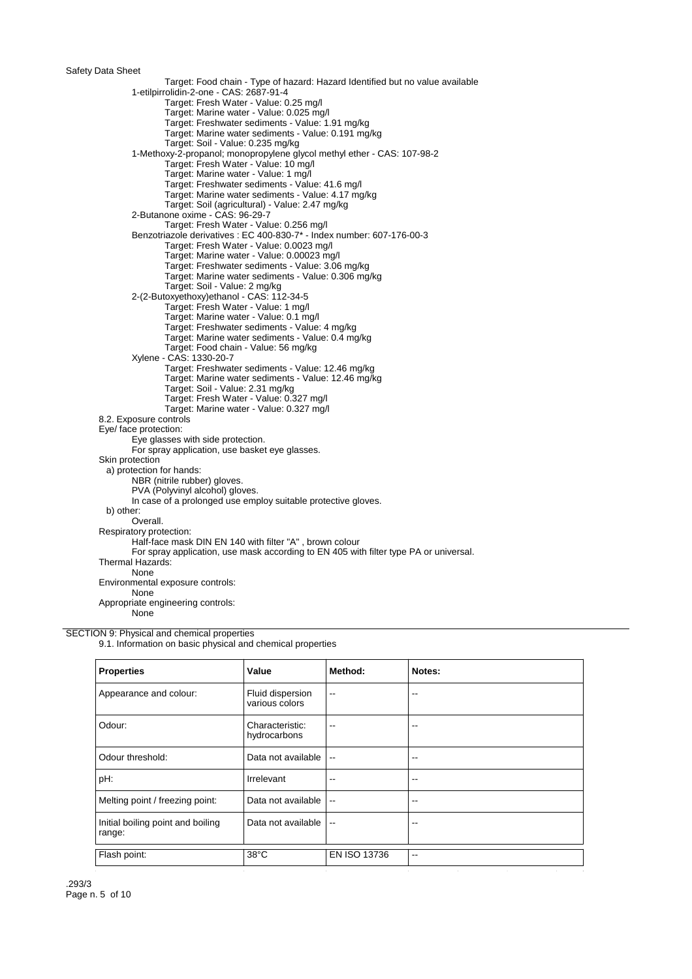Target: Food chain - Type of hazard: Hazard Identified but no value available 1-etilpirrolidin-2-one - CAS: 2687-91-4 Target: Fresh Water - Value: 0.25 mg/l Target: Marine water - Value: 0.025 mg/l Target: Freshwater sediments - Value: 1.91 mg/kg Target: Marine water sediments - Value: 0.191 mg/kg Target: Soil - Value: 0.235 mg/kg 1-Methoxy-2-propanol; monopropylene glycol methyl ether - CAS: 107-98-2 Target: Fresh Water - Value: 10 mg/l Target: Marine water - Value: 1 mg/l Target: Freshwater sediments - Value: 41.6 mg/l Target: Marine water sediments - Value: 4.17 mg/kg Target: Soil (agricultural) - Value: 2.47 mg/kg 2-Butanone oxime - CAS: 96-29-7 Target: Fresh Water - Value: 0.256 mg/l Benzotriazole derivatives : EC 400-830-7\* - Index number: 607-176-00-3 Target: Fresh Water - Value: 0.0023 mg/l Target: Marine water - Value: 0.00023 mg/l Target: Freshwater sediments - Value: 3.06 mg/kg Target: Marine water sediments - Value: 0.306 mg/kg Target: Soil - Value: 2 mg/kg 2-(2-Butoxyethoxy)ethanol - CAS: 112-34-5 Target: Fresh Water - Value: 1 mg/l Target: Marine water - Value: 0.1 mg/l Target: Freshwater sediments - Value: 4 mg/kg Target: Marine water sediments - Value: 0.4 mg/kg Target: Food chain - Value: 56 mg/kg Xylene - CAS: 1330-20-7 Target: Freshwater sediments - Value: 12.46 mg/kg Target: Marine water sediments - Value: 12.46 mg/kg Target: Soil - Value: 2.31 mg/kg Target: Fresh Water - Value: 0.327 mg/l Target: Marine water - Value: 0.327 mg/l 8.2. Exposure controls Eye/ face protection: Eye glasses with side protection. For spray application, use basket eye glasses. Skin protection a) protection for hands: NBR (nitrile rubber) gloves. PVA (Polyvinyl alcohol) gloves. In case of a prolonged use employ suitable protective gloves. b) other: Overall. Respiratory protection: Half-face mask DIN EN 140 with filter "A" , brown colour For spray application, use mask according to EN 405 with filter type PA or universal. Thermal Hazards: **None** Environmental exposure controls: None Appropriate engineering controls:

None

#### SECTION 9: Physical and chemical properties

9.1. Information on basic physical and chemical properties

| <b>Properties</b>                           | Value                              | Method:                  | Notes: |
|---------------------------------------------|------------------------------------|--------------------------|--------|
| Appearance and colour:                      | Fluid dispersion<br>various colors | $-$                      | --     |
| Odour:                                      | Characteristic:<br>hydrocarbons    | --                       | --     |
| Odour threshold:                            | Data not available                 | $\overline{\phantom{a}}$ | --     |
| pH:                                         | Irrelevant                         | $-$                      | --     |
| Melting point / freezing point:             | Data not available                 | $\overline{\phantom{a}}$ | $- -$  |
| Initial boiling point and boiling<br>range: | Data not available                 | $-$                      | --     |
| Flash point:                                | $38^{\circ}$ C                     | EN ISO 13736             | --     |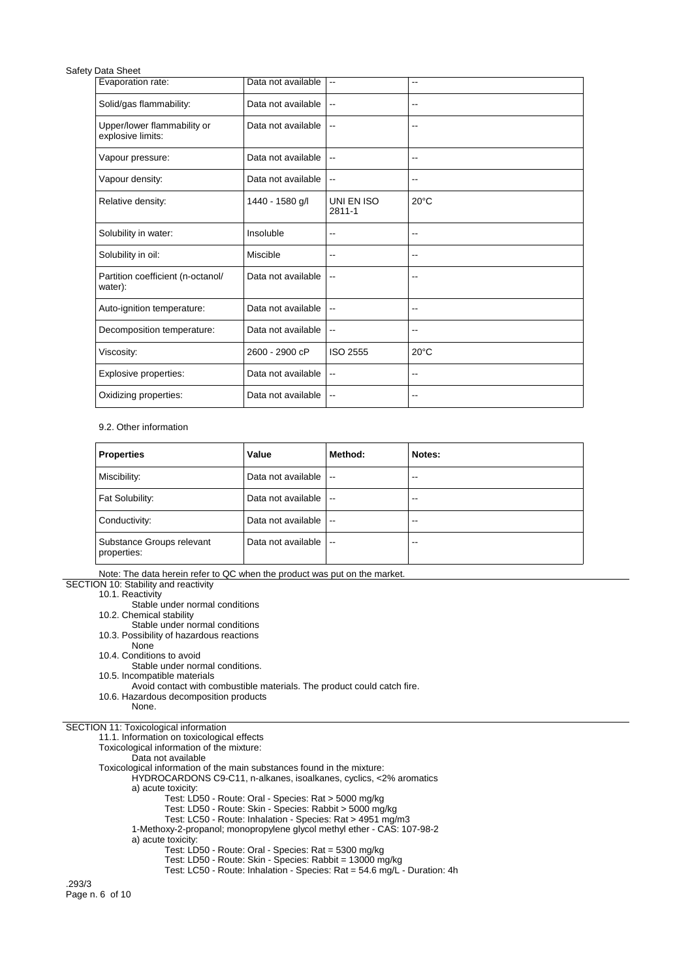| Evaporation rate:                                | Data not available | $\overline{\phantom{a}}$ | $\overline{\phantom{a}}$ |
|--------------------------------------------------|--------------------|--------------------------|--------------------------|
| Solid/gas flammability:                          | Data not available | $\overline{\phantom{a}}$ | $\overline{\phantom{a}}$ |
| Upper/lower flammability or<br>explosive limits: | Data not available | $\overline{a}$           | $\overline{\phantom{a}}$ |
| Vapour pressure:                                 | Data not available | $\overline{\phantom{a}}$ | $\overline{\phantom{a}}$ |
| Vapour density:                                  | Data not available | $\overline{\phantom{a}}$ | $\overline{\phantom{a}}$ |
| Relative density:                                | 1440 - 1580 g/l    | UNI EN ISO<br>$2811 - 1$ | $20^{\circ}$ C           |
| Solubility in water:                             | Insoluble          | $\overline{\phantom{a}}$ | --                       |
| Solubility in oil:                               | Miscible           | $\overline{\phantom{a}}$ | --                       |
| Partition coefficient (n-octanol/<br>water):     | Data not available | $\overline{\phantom{a}}$ | $\overline{\phantom{a}}$ |
| Auto-ignition temperature:                       | Data not available | $\overline{\phantom{a}}$ | $\overline{\phantom{a}}$ |
| Decomposition temperature:                       | Data not available | $\overline{\phantom{a}}$ | --                       |
| Viscosity:                                       | 2600 - 2900 cP     | <b>ISO 2555</b>          | $20^{\circ}$ C           |
| Explosive properties:                            | Data not available | $\overline{\phantom{a}}$ | $\overline{\phantom{a}}$ |
| Oxidizing properties:                            | Data not available | $\overline{\phantom{a}}$ | --                       |

### 9.2. Other information

| <b>Properties</b>                        | Value              | Method:                  | Notes: |
|------------------------------------------|--------------------|--------------------------|--------|
| Miscibility:                             | Data not available | $\mathbf{u}$             | $-$    |
| Fat Solubility:                          | Data not available | $\overline{\phantom{a}}$ | $- -$  |
| Conductivity:                            | Data not available | $\overline{\phantom{a}}$ | $- -$  |
| Substance Groups relevant<br>properties: | Data not available | $\overline{\phantom{a}}$ | $- -$  |

Note: The data herein refer to QC when the product was put on the market.

SECTION 10: Stability and reactivity

10.1. Reactivity

Stable under normal conditions

10.2. Chemical stability

Stable under normal conditions

10.3. Possibility of hazardous reactions

- None
- 10.4. Conditions to avoid
- Stable under normal conditions.<br>10.5. Incompatible materials

10.5. Incompatible materials

Avoid contact with combustible materials. The product could catch fire.

10.6. Hazardous decomposition products

None.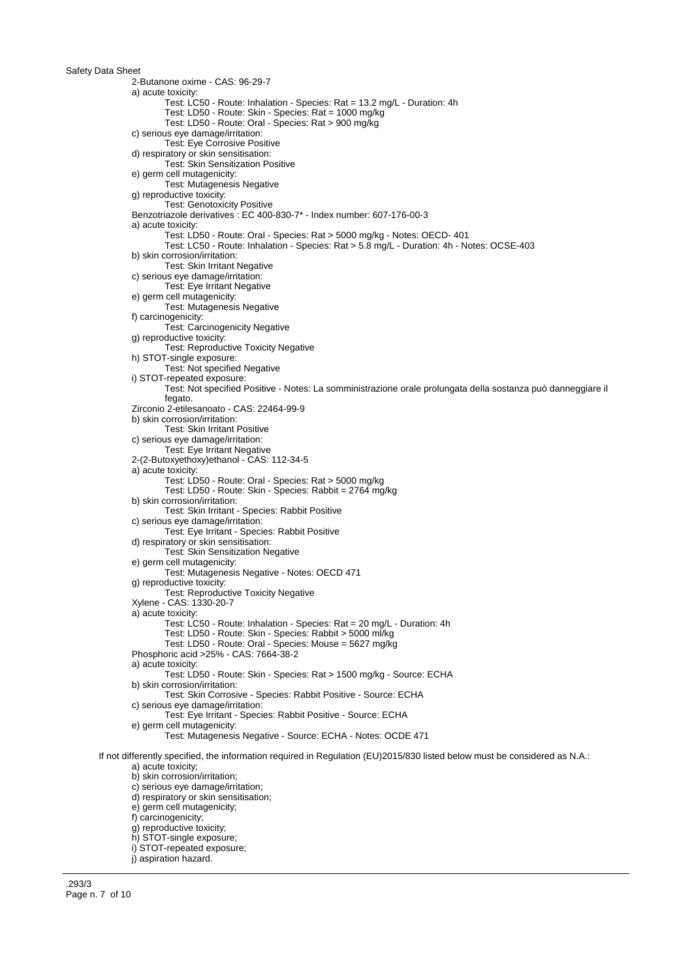2-Butanone oxime - CAS: 96-29-7 a) acute toxicity Test: LC50 - Route: Inhalation - Species: Rat = 13.2 mg/L - Duration: 4h Test: LD50 - Route: Skin - Species: Rat = 1000 mg/kg Test: LD50 - Route: Oral - Species: Rat > 900 mg/kg c) serious eye damage/irritation: Test: Eye Corrosive Positive d) respiratory or skin sensitisation: Test: Skin Sensitization Positive e) germ cell mutagenicity: Test: Mutagenesis Negative g) reproductive toxicity: Test: Genotoxicity Positive Benzotriazole derivatives : EC 400-830-7\* - Index number: 607-176-00-3 a) acute toxicity: Test: LD50 - Route: Oral - Species: Rat > 5000 mg/kg - Notes: OECD- 401 Test: LC50 - Route: Inhalation - Species: Rat > 5.8 mg/L - Duration: 4h - Notes: OCSE-403 b) skin corrosion/irritation: Test: Skin Irritant Negative c) serious eye damage/irritation: Test: Eye Irritant Negative e) germ cell mutagenicity: Test: Mutagenesis Negative f) carcinogenicity: Test: Carcinogenicity Negative g) reproductive toxicity: Test: Reproductive Toxicity Negative h) STOT-single exposure: Test: Not specified Negative i) STOT-repeated exposure: Test: Not specified Positive - Notes: La somministrazione orale prolungata della sostanza può danneggiare il fegato. Zirconio 2-etilesanoato - CAS: 22464-99-9 b) skin corrosion/irritation: Test: Skin Irritant Positive c) serious eye damage/irritation: Test: Eye Irritant Negative 2-(2-Butoxyethoxy)ethanol - CAS: 112-34-5 a) acute toxicity: Test: LD50 - Route: Oral - Species: Rat > 5000 mg/kg Test: LD50 - Route: Skin - Species: Rabbit = 2764 mg/kg b) skin corrosion/irritation: Test: Skin Irritant - Species: Rabbit Positive c) serious eye damage/irritation: Test: Eye Irritant - Species: Rabbit Positive d) respiratory or skin sensitisation: Test: Skin Sensitization Negative e) germ cell mutagenicity: Test: Mutagenesis Negative - Notes: OECD 471 g) reproductive toxicity: Test: Reproductive Toxicity Negative Xylene - CAS: 1330-20-7 a) acute toxicity: Test: LC50 - Route: Inhalation - Species: Rat = 20 mg/L - Duration: 4h Test: LD50 - Route: Skin - Species: Rabbit > 5000 ml/kg Test: LD50 - Route: Oral - Species: Mouse = 5627 mg/kg Phosphoric acid >25% - CAS: 7664-38-2 a) acute toxicity: Test: LD50 - Route: Skin - Species: Rat > 1500 mg/kg - Source: ECHA b) skin corrosion/irritation: Test: Skin Corrosive - Species: Rabbit Positive - Source: ECHA c) serious eye damage/irritation: Test: Eye Irritant - Species: Rabbit Positive - Source: ECHA e) germ cell mutagenicity: Test: Mutagenesis Negative - Source: ECHA - Notes: OCDE 471 If not differently specified, the information required in Regulation (EU)2015/830 listed below must be considered as N.A.: a) acute toxicity; b) skin corrosion/irritation; c) serious eye damage/irritation; d) respiratory or skin sensitisation; e) germ cell mutagenicity; f) carcinogenicity; g) reproductive toxicity; h) STOT-single exposure; i) STOT-repeated exposure;

j) aspiration hazard.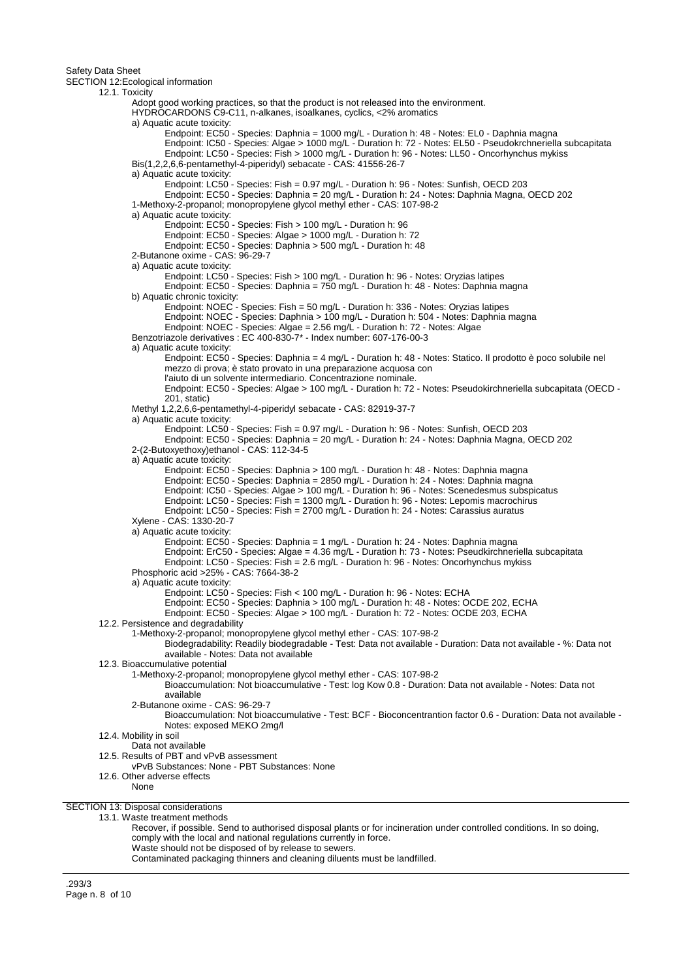SECTION 12:Ecological information

12.1. Toxicity Adopt good working practices, so that the product is not released into the environment. HYDROCARDONS C9-C11, n-alkanes, isoalkanes, cyclics, <2% aromatics a) Aquatic acute toxicity: Endpoint: EC50 - Species: Daphnia = 1000 mg/L - Duration h: 48 - Notes: EL0 - Daphnia magna Endpoint: IC50 - Species: Algae > 1000 mg/L - Duration h: 72 - Notes: EL50 - Pseudokrchneriella subcapitata Endpoint: LC50 - Species: Fish > 1000 mg/L - Duration h: 96 - Notes: LL50 - Oncorhynchus mykiss Bis(1,2,2,6,6-pentamethyl-4-piperidyl) sebacate - CAS: 41556-26-7 a) Aquatic acute toxicity: Endpoint: LC50 - Species: Fish = 0.97 mg/L - Duration h: 96 - Notes: Sunfish, OECD 203 Endpoint: EC50 - Species: Daphnia = 20 mg/L - Duration h: 24 - Notes: Daphnia Magna, OECD 202 1-Methoxy-2-propanol; monopropylene glycol methyl ether - CAS: 107-98-2 a) Aquatic acute toxicity: Endpoint: EC50 - Species: Fish > 100 mg/L - Duration h: 96 Endpoint: EC50 - Species: Algae > 1000 mg/L - Duration h: 72 Endpoint: EC50 - Species: Daphnia > 500 mg/L - Duration h: 48 2-Butanone oxime - CAS: 96-29-7 a) Aquatic acute toxicity: Endpoint: LC50 - Species: Fish > 100 mg/L - Duration h: 96 - Notes: Oryzias latipes Endpoint: EC50 - Species: Daphnia = 750 mg/L - Duration h: 48 - Notes: Daphnia magna b) Aquatic chronic toxicity: Endpoint: NOEC - Species: Fish = 50 mg/L - Duration h: 336 - Notes: Oryzias latipes Endpoint: NOEC - Species: Daphnia > 100 mg/L - Duration h: 504 - Notes: Daphnia magna Endpoint: NOEC - Species: Algae = 2.56 mg/L - Duration h: 72 - Notes: Algae Benzotriazole derivatives : EC 400-830-7\* - Index number: 607-176-00-3 a) Aquatic acute toxicity: Endpoint: EC50 - Species: Daphnia = 4 mg/L - Duration h: 48 - Notes: Statico. Il prodotto è poco solubile nel mezzo di prova; è stato provato in una preparazione acquosa con l'aiuto di un solvente intermediario. Concentrazione nominale. Endpoint: EC50 - Species: Algae > 100 mg/L - Duration h: 72 - Notes: Pseudokirchneriella subcapitata (OECD - 201, static) Methyl 1,2,2,6,6-pentamethyl-4-piperidyl sebacate - CAS: 82919-37-7 a) Aquatic acute toxicity: Endpoint: LC50 - Species: Fish = 0.97 mg/L - Duration h: 96 - Notes: Sunfish, OECD 203 Endpoint: EC50 - Species: Daphnia = 20 mg/L - Duration h: 24 - Notes: Daphnia Magna, OECD 202 2-(2-Butoxyethoxy)ethanol - CAS: 112-34-5 a) Aquatic acute toxicity: Endpoint: EC50 - Species: Daphnia > 100 mg/L - Duration h: 48 - Notes: Daphnia magna Endpoint: EC50 - Species: Daphnia = 2850 mg/L - Duration h: 24 - Notes: Daphnia magna Endpoint: IC50 - Species: Algae > 100 mg/L - Duration h: 96 - Notes: Scenedesmus subspicatus Endpoint: LC50 - Species: Fish = 1300 mg/L - Duration h: 96 - Notes: Lepomis macrochirus Endpoint: LC50 - Species: Fish = 2700 mg/L - Duration h: 24 - Notes: Carassius auratus Xylene - CAS: 1330-20-7 a) Aquatic acute toxicity: Endpoint: EC50 - Species: Daphnia = 1 mg/L - Duration h: 24 - Notes: Daphnia magna Endpoint: ErC50 - Species: Algae = 4.36 mg/L - Duration h: 73 - Notes: Pseudkirchneriella subcapitata Endpoint: LC50 - Species: Fish = 2.6 mg/L - Duration h: 96 - Notes: Oncorhynchus mykiss Phosphoric acid >25% - CAS: 7664-38-2 a) Aquatic acute toxicity: Endpoint: LC50 - Species: Fish < 100 mg/L - Duration h: 96 - Notes: ECHA Endpoint: EC50 - Species: Daphnia > 100 mg/L - Duration h: 48 - Notes: OCDE 202, ECHA Endpoint: EC50 - Species: Algae > 100 mg/L - Duration h: 72 - Notes: OCDE 203, ECHA 12.2. Persistence and degradability 1-Methoxy-2-propanol; monopropylene glycol methyl ether - CAS: 107-98-2 Biodegradability: Readily biodegradable - Test: Data not available - Duration: Data not available - %: Data not available - Notes: Data not available 12.3. Bioaccumulative potential 1-Methoxy-2-propanol; monopropylene glycol methyl ether - CAS: 107-98-2 Bioaccumulation: Not bioaccumulative - Test: log Kow 0.8 - Duration: Data not available - Notes: Data not available 2-Butanone oxime - CAS: 96-29-7 Bioaccumulation: Not bioaccumulative - Test: BCF - Bioconcentrantion factor 0.6 - Duration: Data not available - Notes: exposed MEKO 2mg/l 12.4. Mobility in soil Data not available 12.5. Results of PBT and vPvB assessment vPvB Substances: None - PBT Substances: None 12.6. Other adverse effects None SECTION 13: Disposal considerations 13.1. Waste treatment methods Recover, if possible. Send to authorised disposal plants or for incineration under controlled conditions. In so doing,

comply with the local and national regulations currently in force.

Waste should not be disposed of by release to sewers.

Contaminated packaging thinners and cleaning diluents must be landfilled.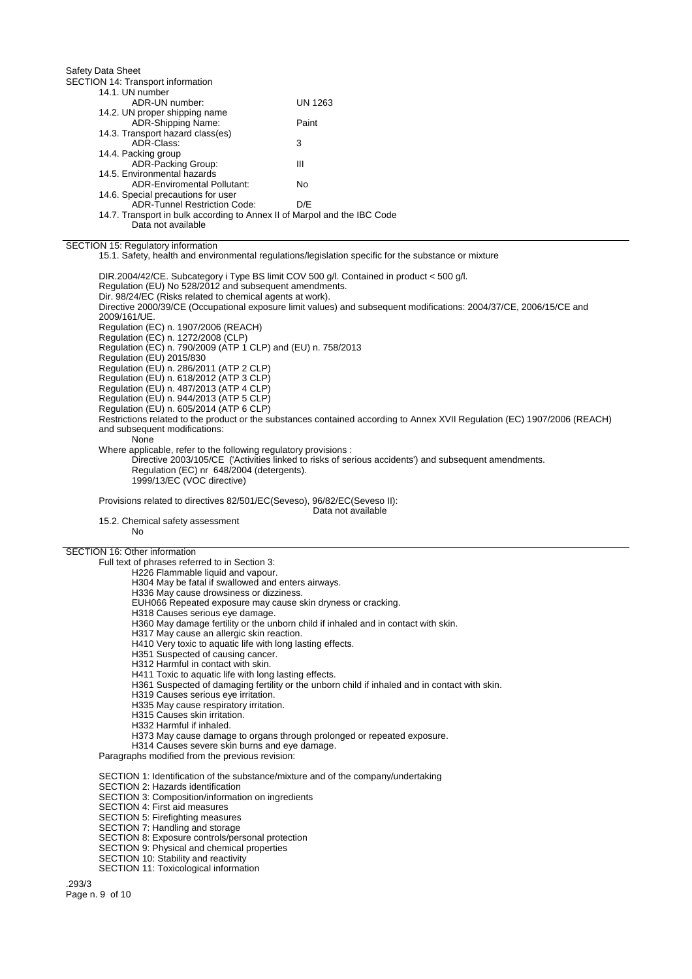Safety Data Sheet SECTION 14: Transport information 14.1. UN number ADR-UN number: UN 1263 14.2. UN proper shipping name ADR-Shipping Name: Paint 14.3. Transport hazard class(es) ADR-Class: 3 14.4. Packing group ADR-Packing Group: III 14.5. Environmental hazards ADR-Enviromental Pollutant: No 14.6. Special precautions for user ADR-Tunnel Restriction Code: D/E 14.7. Transport in bulk according to Annex II of Marpol and the IBC Code Data not available

SECTION 15: Regulatory information

15.1. Safety, health and environmental regulations/legislation specific for the substance or mixture

DIR.2004/42/CE. Subcategory i Type BS limit COV 500 g/l. Contained in product < 500 g/l. Regulation (EU) No 528/2012 and subsequent amendments. Dir. 98/24/EC (Risks related to chemical agents at work). Directive 2000/39/CE (Occupational exposure limit values) and subsequent modifications: 2004/37/CE, 2006/15/CE and 2009/161/UE. Regulation (EC) n. 1907/2006 (REACH) Regulation (EC) n. 1272/2008 (CLP) Regulation (EC) n. 790/2009 (ATP 1 CLP) and (EU) n. 758/2013 Regulation (EU) 2015/830 Regulation (EU) n. 286/2011 (ATP 2 CLP) Regulation (EU) n. 618/2012 (ATP 3 CLP) Regulation (EU) n. 487/2013 (ATP 4 CLP) Regulation (EU) n. 944/2013 (ATP 5 CLP) Regulation (EU) n. 605/2014 (ATP 6 CLP) Restrictions related to the product or the substances contained according to Annex XVII Regulation (EC) 1907/2006 (REACH) and subsequent modifications: **None** Where applicable, refer to the following regulatory provisions : Directive 2003/105/CE ('Activities linked to risks of serious accidents') and subsequent amendments. Regulation (EC) nr 648/2004 (detergents). 1999/13/EC (VOC directive)

Provisions related to directives 82/501/EC(Seveso), 96/82/EC(Seveso II):

Data not available

15.2. Chemical safety assessment No

## SECTION 16: Other information

Full text of phrases referred to in Section 3: H226 Flammable liquid and vapour.

H304 May be fatal if swallowed and enters airways.

H336 May cause drowsiness or dizziness.

EUH066 Repeated exposure may cause skin dryness or cracking.

H318 Causes serious eye damage.

H360 May damage fertility or the unborn child if inhaled and in contact with skin.

H317 May cause an allergic skin reaction.

H410 Very toxic to aquatic life with long lasting effects.

H351 Suspected of causing cancer.

H312 Harmful in contact with skin.

- H411 Toxic to aquatic life with long lasting effects.
- H361 Suspected of damaging fertility or the unborn child if inhaled and in contact with skin.
- H319 Causes serious eye irritation.
- H335 May cause respiratory irritation.

H315 Causes skin irritation.

H332 Harmful if inhaled.

H373 May cause damage to organs through prolonged or repeated exposure.

H314 Causes severe skin burns and eye damage.

Paragraphs modified from the previous revision:

SECTION 1: Identification of the substance/mixture and of the company/undertaking

SECTION 2: Hazards identification

- SECTION 3: Composition/information on ingredients
- SECTION 4: First aid measures
- SECTION 5: Firefighting measures
- SECTION 7: Handling and storage

SECTION 8: Exposure controls/personal protection

SECTION 9: Physical and chemical properties

- SECTION 10: Stability and reactivity
- SECTION 11: Toxicological information

.293/3 Page n. 9 of 10